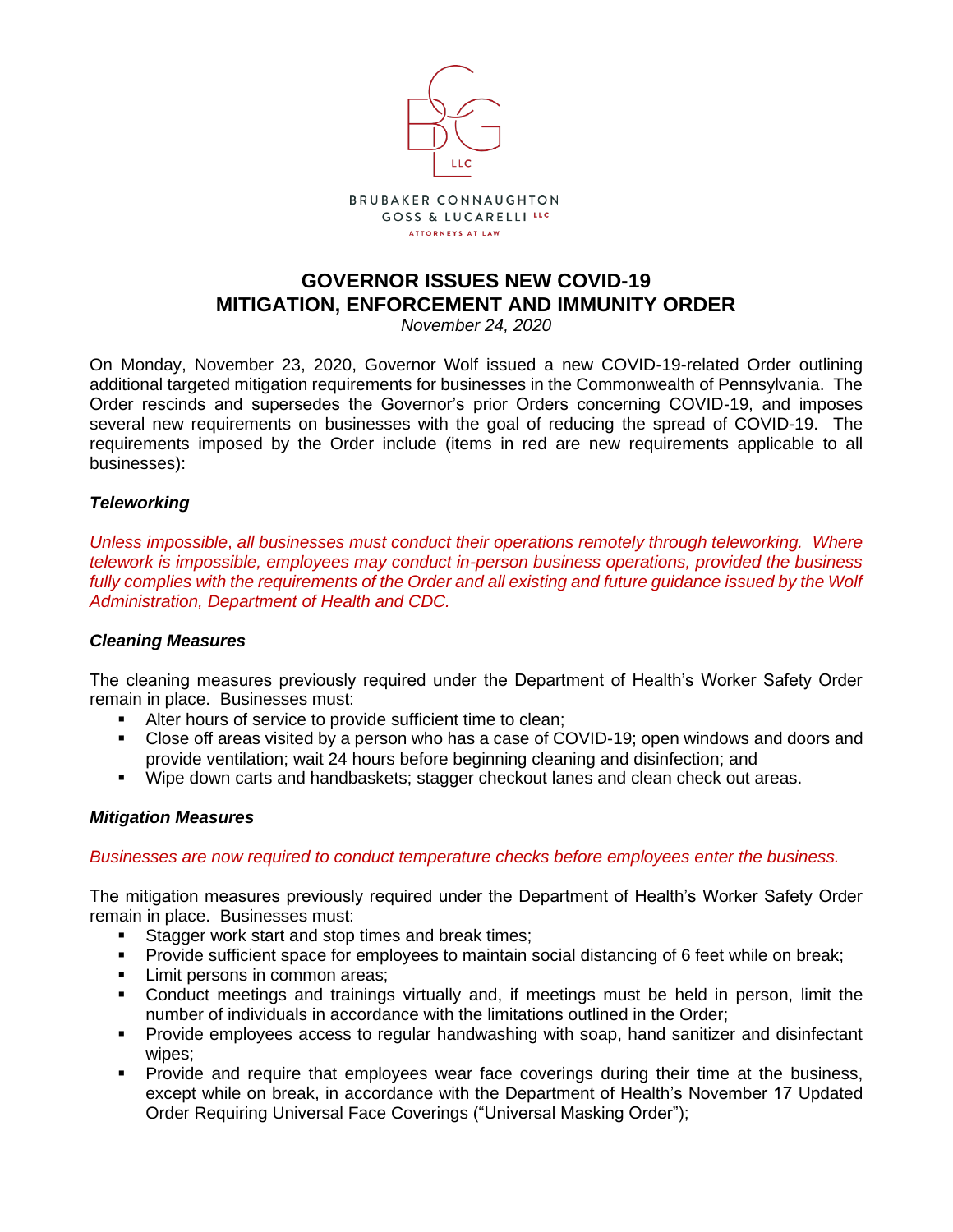

# **GOVERNOR ISSUES NEW COVID-19 MITIGATION, ENFORCEMENT AND IMMUNITY ORDER**

*November 24, 2020*

On Monday, November 23, 2020, Governor Wolf issued a new COVID-19-related Order outlining additional targeted mitigation requirements for businesses in the Commonwealth of Pennsylvania. The Order rescinds and supersedes the Governor's prior Orders concerning COVID-19, and imposes several new requirements on businesses with the goal of reducing the spread of COVID-19. The requirements imposed by the Order include (items in red are new requirements applicable to all businesses):

#### *Teleworking*

*Unless impossible*, *all businesses must conduct their operations remotely through teleworking. Where telework is impossible, employees may conduct in-person business operations, provided the business*  fully complies with the requirements of the Order and all existing and future guidance issued by the Wolf *Administration, Department of Health and CDC.*

#### *Cleaning Measures*

The cleaning measures previously required under the Department of Health's Worker Safety Order remain in place. Businesses must:

- Alter hours of service to provide sufficient time to clean;
- Close off areas visited by a person who has a case of COVID-19; open windows and doors and provide ventilation; wait 24 hours before beginning cleaning and disinfection; and
- Wipe down carts and handbaskets; stagger checkout lanes and clean check out areas.

#### *Mitigation Measures*

*Businesses are now required to conduct temperature checks before employees enter the business.*

The mitigation measures previously required under the Department of Health's Worker Safety Order remain in place. Businesses must:

- Stagger work start and stop times and break times:
- Provide sufficient space for employees to maintain social distancing of 6 feet while on break;
- **EXECUTE:** Limit persons in common areas;
- Conduct meetings and trainings virtually and, if meetings must be held in person, limit the number of individuals in accordance with the limitations outlined in the Order;
- **•** Provide employees access to regular handwashing with soap, hand sanitizer and disinfectant wipes;
- Provide and require that employees wear face coverings during their time at the business, except while on break, in accordance with the Department of Health's November 17 Updated Order Requiring Universal Face Coverings ("Universal Masking Order");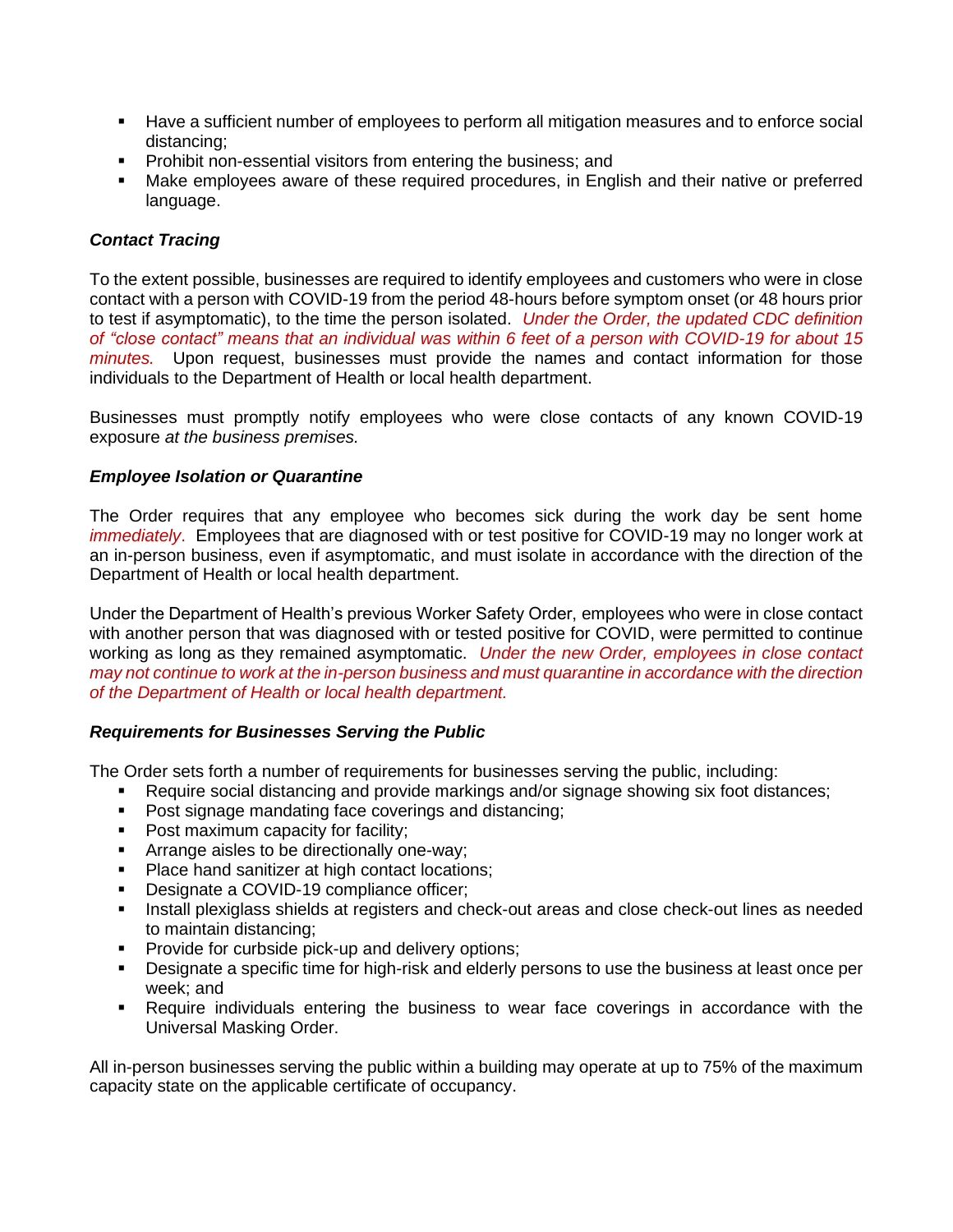- Have a sufficient number of employees to perform all mitigation measures and to enforce social distancing;
- **•** Prohibit non-essential visitors from entering the business; and
- Make employees aware of these required procedures, in English and their native or preferred language.

## *Contact Tracing*

To the extent possible, businesses are required to identify employees and customers who were in close contact with a person with COVID-19 from the period 48-hours before symptom onset (or 48 hours prior to test if asymptomatic), to the time the person isolated. *Under the Order, the updated CDC definition of "close contact" means that an individual was within 6 feet of a person with COVID-19 for about 15 minutes.* Upon request, businesses must provide the names and contact information for those individuals to the Department of Health or local health department.

Businesses must promptly notify employees who were close contacts of any known COVID-19 exposure *at the business premises.*

### *Employee Isolation or Quarantine*

The Order requires that any employee who becomes sick during the work day be sent home *immediately*. Employees that are diagnosed with or test positive for COVID-19 may no longer work at an in-person business, even if asymptomatic, and must isolate in accordance with the direction of the Department of Health or local health department.

Under the Department of Health's previous Worker Safety Order, employees who were in close contact with another person that was diagnosed with or tested positive for COVID, were permitted to continue working as long as they remained asymptomatic. *Under the new Order, employees in close contact may not continue to work at the in-person business and must quarantine in accordance with the direction of the Department of Health or local health department.*

### *Requirements for Businesses Serving the Public*

The Order sets forth a number of requirements for businesses serving the public, including:

- Require social distancing and provide markings and/or signage showing six foot distances;
- Post signage mandating face coverings and distancing;
- Post maximum capacity for facility;
- Arrange aisles to be directionally one-way;
- Place hand sanitizer at high contact locations;
- **•** Designate a COVID-19 compliance officer;
- **EXECT A** Install plexiglass shields at registers and check-out areas and close check-out lines as needed to maintain distancing;
- Provide for curbside pick-up and delivery options;
- Designate a specific time for high-risk and elderly persons to use the business at least once per week; and
- Require individuals entering the business to wear face coverings in accordance with the Universal Masking Order.

All in-person businesses serving the public within a building may operate at up to 75% of the maximum capacity state on the applicable certificate of occupancy.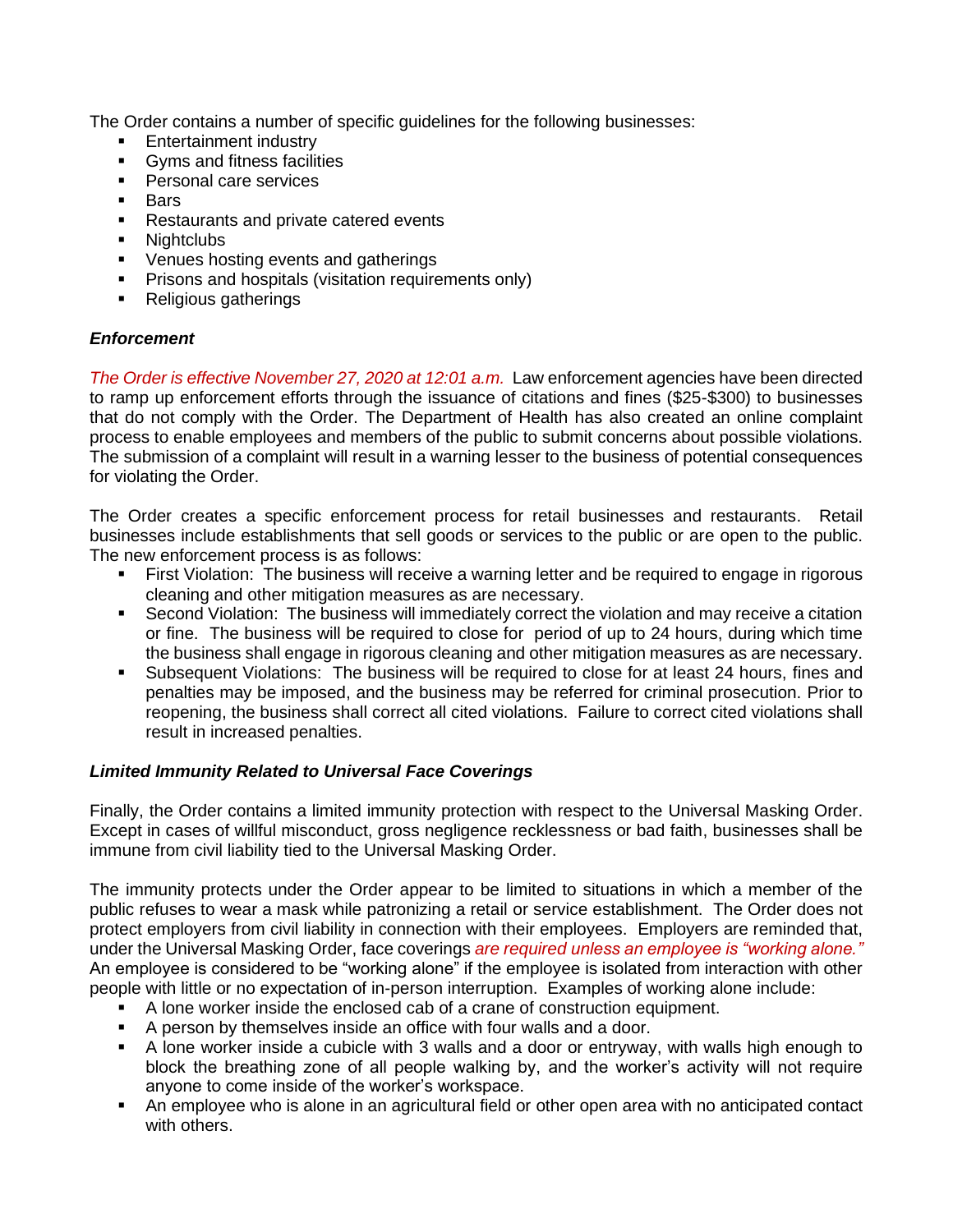The Order contains a number of specific guidelines for the following businesses:

- Entertainment industry
- Gyms and fitness facilities
- Personal care services
- Bars
- Restaurants and private catered events
- Nightclubs
- Venues hosting events and gatherings
- **•** Prisons and hospitals (visitation requirements only)
- Religious gatherings

### *Enforcement*

*The Order is effective November 27, 2020 at 12:01 a.m.* Law enforcement agencies have been directed to ramp up enforcement efforts through the issuance of citations and fines (\$25-\$300) to businesses that do not comply with the Order. The Department of Health has also created an online complaint process to enable employees and members of the public to submit concerns about possible violations. The submission of a complaint will result in a warning lesser to the business of potential consequences for violating the Order.

The Order creates a specific enforcement process for retail businesses and restaurants. Retail businesses include establishments that sell goods or services to the public or are open to the public. The new enforcement process is as follows:

- **•** First Violation: The business will receive a warning letter and be required to engage in rigorous cleaning and other mitigation measures as are necessary.
- Second Violation: The business will immediately correct the violation and may receive a citation or fine. The business will be required to close for period of up to 24 hours, during which time the business shall engage in rigorous cleaning and other mitigation measures as are necessary.
- Subsequent Violations: The business will be required to close for at least 24 hours, fines and penalties may be imposed, and the business may be referred for criminal prosecution. Prior to reopening, the business shall correct all cited violations. Failure to correct cited violations shall result in increased penalties.

### *Limited Immunity Related to Universal Face Coverings*

Finally, the Order contains a limited immunity protection with respect to the Universal Masking Order. Except in cases of willful misconduct, gross negligence recklessness or bad faith, businesses shall be immune from civil liability tied to the Universal Masking Order.

The immunity protects under the Order appear to be limited to situations in which a member of the public refuses to wear a mask while patronizing a retail or service establishment. The Order does not protect employers from civil liability in connection with their employees. Employers are reminded that, under the Universal Masking Order, face coverings *are required unless an employee is "working alone."* An employee is considered to be "working alone" if the employee is isolated from interaction with other people with little or no expectation of in-person interruption. Examples of working alone include:

- A lone worker inside the enclosed cab of a crane of construction equipment.
- A person by themselves inside an office with four walls and a door.
- A lone worker inside a cubicle with 3 walls and a door or entryway, with walls high enough to block the breathing zone of all people walking by, and the worker's activity will not require anyone to come inside of the worker's workspace.
- An employee who is alone in an agricultural field or other open area with no anticipated contact with others.